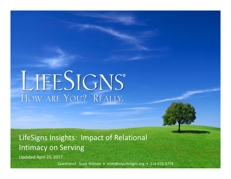# LIFESIGNS® HOW ARE YOU? REALLY.

LifeSigns Insights: Impact of Relational Intimacy on Serving

Updated April 25, 2017

Questions? Scott Watson · scott@myLifeSigns.org · 214-535-5774

**Page 9 of 12**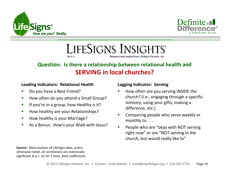



LIFESIGNS INSIGHTS®  $Vol<sub>4</sub>3$ Research and insights from LifeSigns Partners, Inc.

# **Question: Is there a relationship between relational health and SERVING in local churches?**

## **Leading Indicators: Relational Health**

- ш Do you have a Best Friend?
- $\mathcal{L}_{\mathcal{A}}$ How often do you attend a Small Group?
- $\mathcal{L}_{\mathcal{A}}$ If you're in a group, how Healthy is it?
- $\blacksquare$ How healthy are your Relationships?
- $\blacksquare$ How healthy is your Marriage?
- $\mathcal{L}_{\mathcal{A}}$ As a Bonus: How's your Walk with Jesus?

## **Lagging Indicator: Serving**

- ш How often are you serving INSIDE the church? (i.e., engaging through a specific ministry, using your gifts, making a difference, etc.)
- $\overline{\phantom{a}}$  Comparing people who serve weekly or monthly to . . .
- $\blacksquare$  People who are "okay with NOT serving right now" or are "NOT serving in the church, but would really like to"

**Source:** Meta-analysis of LifeSigns data, unless otherwise noted, all correlations are statistically significant at  $p < .01$  for T-tests, Beta coefficients.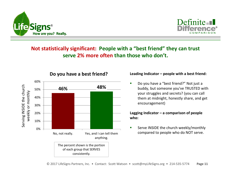



## **Not statistically significant: People with a "best friend" they can trust serve 2% more often than those who don't.**



## **Do you have a best friend?**

#### **Leading Indicator – people with a best friend:**

Ō, Do you have a "best friend?" Not just a buddy, but someone you've TRUSTED with your struggles and secrets? (you can call them at midnight, honestly share, and get encouragement)

#### **Lagging Indicator – a comparison of people who:**

ш Serve INSIDE the church weekly/monthly compared to people who do NOT serve.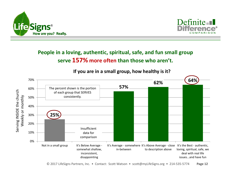



## **People in a loving, authentic, spiritual, safe, and fun small group serve 157% more often than those who aren't.**



**If you are in a small group, how healthy is it?**

© 2017 LifeSigns Partners, Inc. • Contact: Scott Watson • scott@myLifeSigns.org • 214-535-5774 **Page 12**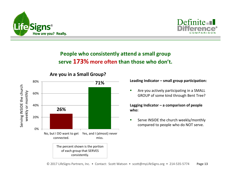



# **People who consistently attend a small group serve 173% more often than those who don't.**



**Are you in a Small Group?**

#### **Leading Indicator – small group participation:**

 $\blacksquare$  Are you actively participating in a SMALL GROUP of some kind through Bent Tree?

**Lagging Indicator – a comparison of people who:**

Ē. Serve INSIDE the church weekly/monthly compared to people who do NOT serve.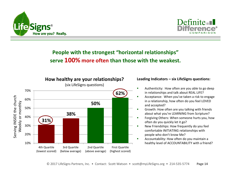



## **People with the strongest "horizontal relationships" serve 100% more often than those with the weakest.**



#### **Leading Indicators – six LifeSigns questions:**

- Authenticity: How often are you able to go deep in relationships and talk about REAL LIFE?
- Acceptance: When you've taken a risk to engage in a relationship, how often do you feel LOVED and accepted?
- Growth: How often are you talking with friends about what you're LEARNING from Scripture?
- г Forgiving Others: When someone hurts you, how often do you quickly let it go?
	- New Friendships: How frequently do you feel comfortable INITIATING relationships with people who don't know Me?
- Accountability: How often do you maintain a healthy level of ACCOUNTABILITY with a friend?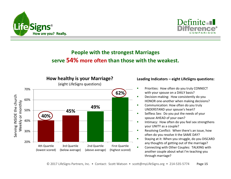



## **People with the strongest Marriages serve 54% more often than those with the weakest.**



#### **Leading Indicators – eight LifeSigns questions:**

- Г Priorities: How often do you truly CONNECT with your spouse on a DAILY basis?
- Decision-making: How consistently do you HONOR one-another when making decisions?
- г Communication: How often do you truly UNDERSTAND your spouse's heart?
- × Selfless Sex: Do you put the needs of your spouse AHEAD of your own?
- Intimacy: How often do you feel sex strengthens your UNITY as a couple?
- Resolving Conflict: When there's an issue, how often do you resolve it the SAME DAY?
- г Staying at it: When you struggle, do you DISCARD any thoughts of getting out of the marriage?
- Connecting with Other Couples: TALKING with another couple about what I'm teaching you through marriage?

 $\blacksquare$ 

Г

Г

г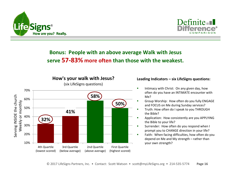



## **Bonus: People with an above average Walk with Jesus serve 57-83% more often than those with the weakest.**



### (six LifeSigns questions)

**How's your walk with Jesus?**

#### **Leading Indicators – six LifeSigns questions:**

- п Intimacy with Christ: On any given day, how often do you have an INTIMATE encounter with Me?
- Group Worship: How often do you fully ENGAGE and FOCUS on Me during Sunday services?
- Truth: How often do I speak to you THROUGH the Bible?
- г Application: How consistently are you APPLYING the Bible to your life?
- Surrender: How often do you respond when I prompt you to CHANGE direction in your life?
- Faith: When facing difficulties, how often do you depend on Me and My strength – rather than your own strength?

Г

Г

г

г